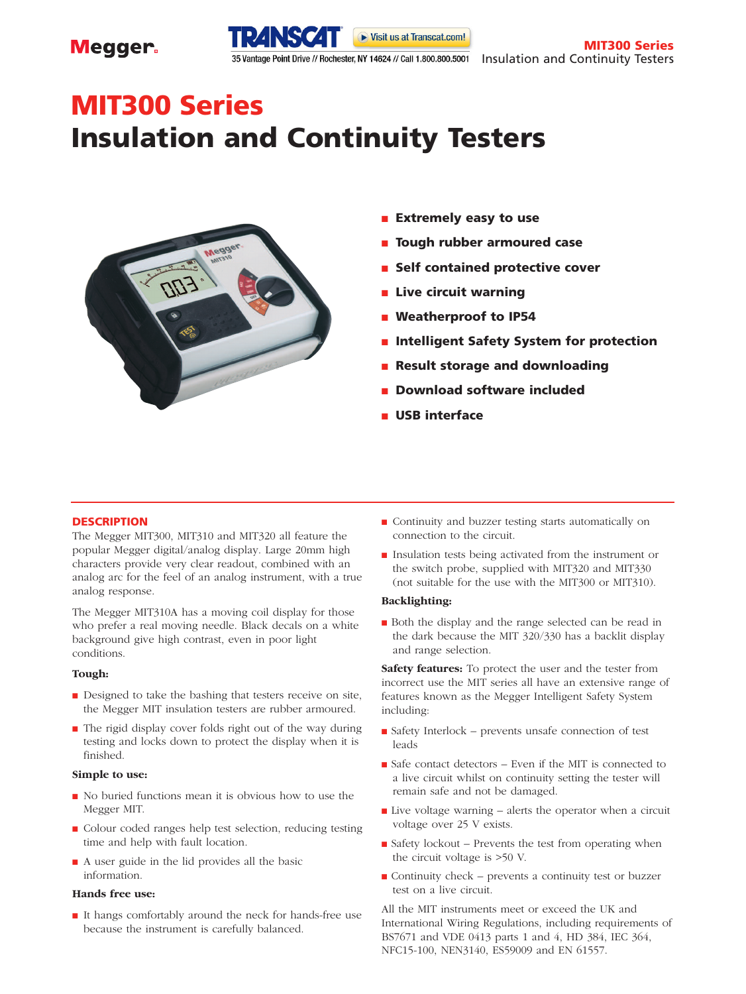

**MIT300 Series**

# **MIT300 Series Insulation and Continuity Testers**



- **Extremely easy to use**
- **Tough rubber armoured case**
- Self contained protective cover
- **Live circuit warning**
- Weatherproof to **IP54**
- **Intelligent Safety System for protection**
- **Result storage and downloading**
- **Download software included**
- **USB interface**

# **DESCRIPTION**

The Megger MIT300, MIT310 and MIT320 all feature the popular Megger digital/analog display. Large 20mm high characters provide very clear readout, combined with an analog arc for the feel of an analog instrument, with a true analog response.

The Megger MIT310A has a moving coil display for those who prefer a real moving needle. Black decals on a white background give high contrast, even in poor light conditions.

# **Tough:**

- Designed to take the bashing that testers receive on site, the Megger MIT insulation testers are rubber armoured.
- The rigid display cover folds right out of the way during testing and locks down to protect the display when it is finished.

# **Simple to use:**

- No buried functions mean it is obvious how to use the Megger MIT.
- Colour coded ranges help test selection, reducing testing time and help with fault location.
- A user guide in the lid provides all the basic information.

# **Hands free use:**

■ It hangs comfortably around the neck for hands-free use because the instrument is carefully balanced.

- Continuity and buzzer testing starts automatically on connection to the circuit.
- Insulation tests being activated from the instrument or the switch probe, supplied with MIT320 and MIT330 (not suitable for the use with the MIT300 or MIT310).

# **Backlighting:**

■ Both the display and the range selected can be read in the dark because the MIT 320/330 has a backlit display and range selection.

**Safety features:** To protect the user and the tester from incorrect use the MIT series all have an extensive range of features known as the Megger Intelligent Safety System including:

- Safety Interlock prevents unsafe connection of test leads
- Safe contact detectors Even if the MIT is connected to a live circuit whilst on continuity setting the tester will remain safe and not be damaged.
- $\blacksquare$  Live voltage warning alerts the operator when a circuit voltage over 25 V exists.
- Safety lockout Prevents the test from operating when the circuit voltage is >50 V.
- Continuity check prevents a continuity test or buzzer test on a live circuit.

All the MIT instruments meet or exceed the UK and International Wiring Regulations, including requirements of BS7671 and VDE 0413 parts 1 and 4, HD 384, IEC 364, NFC15-100, NEN3140, ES59009 and EN 61557.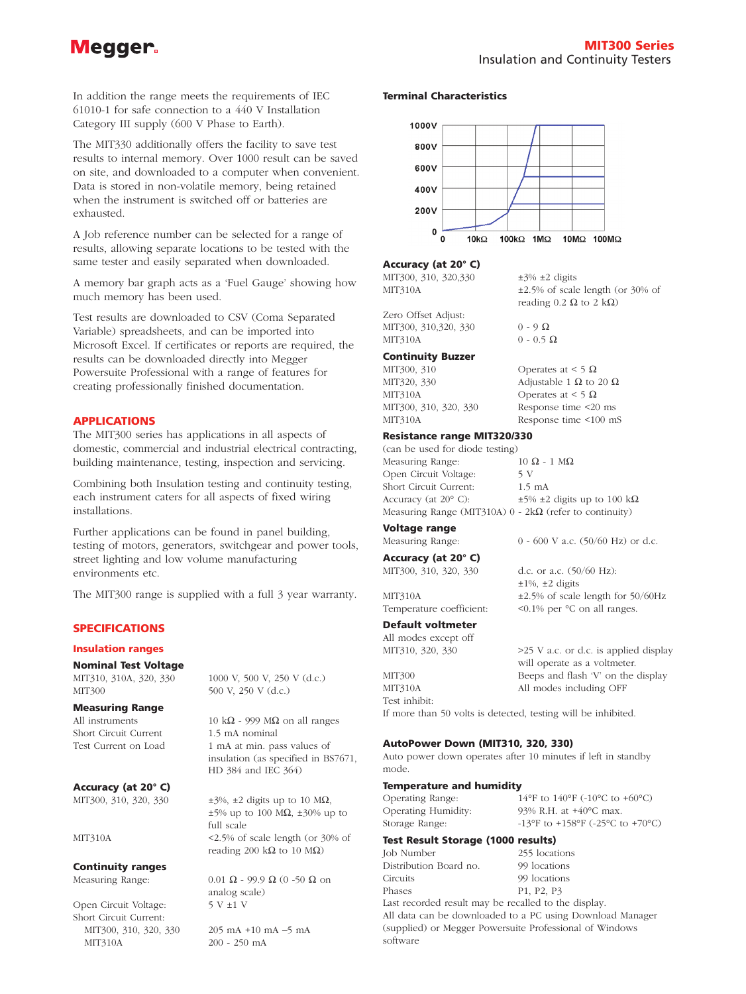# Megger.

reading 0.2  $\Omega$  to 2 k $\Omega$ )

In addition the range meets the requirements of IEC 61010-1 for safe connection to a 440 V Installation Category III supply (600 V Phase to Earth).

The MIT330 additionally offers the facility to save test results to internal memory. Over 1000 result can be saved on site, and downloaded to a computer when convenient. Data is stored in non-volatile memory, being retained when the instrument is switched off or batteries are exhausted.

A Job reference number can be selected for a range of results, allowing separate locations to be tested with the same tester and easily separated when downloaded.

A memory bar graph acts as a 'Fuel Gauge' showing how much memory has been used.

Test results are downloaded to CSV (Coma Separated Variable) spreadsheets, and can be imported into Microsoft Excel. If certificates or reports are required, the results can be downloaded directly into Megger Powersuite Professional with a range of features for creating professionally finished documentation.

# **APPLICATIONS**

The MIT300 series has applications in all aspects of domestic, commercial and industrial electrical contracting, building maintenance, testing, inspection and servicing.

Combining both Insulation testing and continuity testing, each instrument caters for all aspects of fixed wiring installations.

Further applications can be found in panel building, testing of motors, generators, switchgear and power tools, street lighting and low volume manufacturing environments etc.

The MIT300 range is supplied with a full 3 year warranty.

# **SPECIFICATIONS**

## **Insulation ranges**

# **Nominal Test Voltage**

MIT300 500 V, 250 V (d.c.)

# **Measuring Range**

Short Circuit Current 1.5 mA nominal

**Accuracy (at 20° C)**

# **Continuity ranges**

Open Circuit Voltage: 5 V ±1 V Short Circuit Current: MIT300, 310, 320, 330 205 mA +10 mA –5 mA MIT310A 200 - 250 mA

MIT310, 310A, 320, 330 1000 V, 500 V, 250 V (d.c.)

All instruments 10 k $\Omega$  - 999 M $\Omega$  on all ranges Test Current on Load 1 mA at min. pass values of insulation (as specified in BS7671, HD 384 and IEC 364)

MIT300, 310, 320, 330  $\pm 3\%$ ,  $\pm 2$  digits up to 10 M $\Omega$ , ±5% up to 100 MΩ, ±30% up to full scale MIT310A <2.5% of scale length (or 30% of reading 200 k $\Omega$  to 10 M $\Omega$ )

Measuring Range: 0.01  $\Omega$  - 99.9  $\Omega$  (0 -50  $\Omega$  on analog scale)

# **Terminal Characteristics**



#### **Accuracy (at 20° C)**

MIT300, 310, 320,330  $\pm$ 3%  $\pm$ 2 digits MIT310A  $\pm 2.5\%$  of scale length (or 30% of

Zero Offset Adjust: MIT300, 310,320, 330 0 - 9  $\Omega$ MIT310A 0 - 0.5  $\Omega$ 

# **Continuity Buzzer**

MIT300, 310 Operates at < 5  $\Omega$ MIT320, 330 Adjustable 1  $\Omega$  to 20  $\Omega$ MIT310A Operates at < 5  $\Omega$ MIT300, 310, 320, 330 Response time <20 ms MIT310A Response time <100 mS

# **Resistance range MIT320/330**

(can be used for diode testing) Measuring Range:  $10 \Omega - 1 M\Omega$ Open Circuit Voltage: 5 V Short Circuit Current: 1.5 mA Accuracy (at 20 $\degree$  C):  $\qquad \qquad \pm 5\% \pm 2$  digits up to 100 kΩ Measuring Range (MIT310A) 0 - 2kΩ (refer to continuity)

# **Voltage range**

# **Accuracy (at 20° C)**

**Default voltmeter**

All modes except off

MIT310A All modes including OFF Test inhibit:

If more than 50 volts is detected, testing will be inhibited.

# **AutoPower Down (MIT310, 320, 330)**

Auto power down operates after 10 minutes if left in standby mode.

# **Temperature and humidity**

Operating Range: 14°F to 140°F (-10°C to +60°C) Operating Humidity: 93% R.H. at +40°C max. Storage Range:  $-13^{\circ}$ F to  $+158^{\circ}$ F ( $-25^{\circ}$ C to  $+70^{\circ}$ C)

# **Test Result Storage (1000 results)**

Job Number 255 locations Distribution Board no. 99 locations Circuits 99 locations Phases P1, P2, P3 Last recorded result may be recalled to the display.

All data can be downloaded to a PC using Download Manager (supplied) or Megger Powersuite Professional of Windows software

MIT300, 310, 320, 330 d.c. or a.c. (50/60 Hz):

Measuring Range: 0 - 600 V a.c. (50/60 Hz) or d.c.

 $\pm 1\%$ ,  $\pm 2$  digits MIT310A  $\pm 2.5\%$  of scale length for 50/60Hz Temperature coefficient: <0.1% per  $°C$  on all ranges.

MIT310, 320, 330  $>25 \text{ V a.c.}$  or d.c. is applied display will operate as a voltmeter. MIT300 Beeps and flash 'V' on the display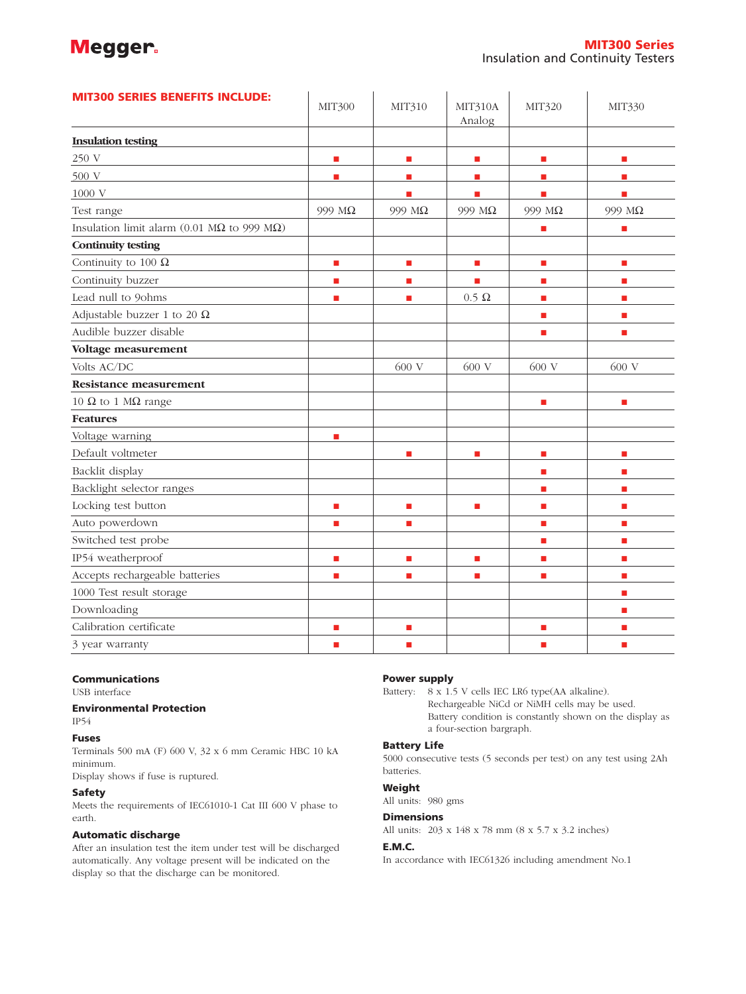# Megger.

| <b>MIT300 SERIES BENEFITS INCLUDE:</b>                      | <b>MIT300</b>            | MIT310                      | MIT310A<br>Analog           | MIT320                   | MIT330         |
|-------------------------------------------------------------|--------------------------|-----------------------------|-----------------------------|--------------------------|----------------|
| <b>Insulation testing</b>                                   |                          |                             |                             |                          |                |
| 250 V                                                       | $\overline{\phantom{a}}$ | $\mathcal{L}_{\mathcal{A}}$ | $\mathcal{L}_{\mathcal{A}}$ | L.                       | п              |
| 500 V                                                       | $\blacksquare$           | п                           | $\blacksquare$              | <b>D</b>                 | п              |
| 1000 V                                                      |                          | п                           | п                           | п                        | п              |
| Test range                                                  | 999 MΩ                   | 999 MΩ                      | 999 MΩ                      | 999 MΩ                   | 999 MΩ         |
| Insulation limit alarm (0.01 M $\Omega$ to 999 M $\Omega$ ) |                          |                             |                             | п                        | п              |
| <b>Continuity testing</b>                                   |                          |                             |                             |                          |                |
| Continuity to 100 $\Omega$                                  | $\blacksquare$           | $\mathbf{r}$                | $\blacksquare$              | <b>D</b>                 | $\blacksquare$ |
| Continuity buzzer                                           | $\blacksquare$           | П                           | п                           | $\mathbb{R}^n$           | п              |
| Lead null to 9ohms                                          | ш                        | п                           | $0.5 \Omega$                | п                        | п              |
| Adjustable buzzer 1 to 20 $\Omega$                          |                          |                             |                             | $\overline{\phantom{a}}$ | п              |
| Audible buzzer disable                                      |                          |                             |                             | п                        | п              |
| Voltage measurement                                         |                          |                             |                             |                          |                |
| Volts AC/DC                                                 |                          | 600 V                       | 600 V                       | 600 V                    | 600 V          |
| <b>Resistance measurement</b>                               |                          |                             |                             |                          |                |
| 10 $\Omega$ to 1 M $\Omega$ range                           |                          |                             |                             | $\mathbb{R}^n$           | П              |
| <b>Features</b>                                             |                          |                             |                             |                          |                |
| Voltage warning                                             | п                        |                             |                             |                          |                |
| Default voltmeter                                           |                          | п                           | п                           | п                        | п              |
| Backlit display                                             |                          |                             |                             | $\overline{\phantom{a}}$ | п              |
| Backlight selector ranges                                   |                          |                             |                             | $\blacksquare$           | п              |
| Locking test button                                         | п                        | П                           | П                           | п                        | п              |
| Auto powerdown                                              | ш                        | <b>COL</b>                  |                             | п                        | п              |
| Switched test probe                                         |                          |                             |                             | п                        | п              |
| IP54 weatherproof                                           | п                        | п                           | п                           | $\blacksquare$           | п              |
| Accepts rechargeable batteries                              | п                        | п                           | П                           | п                        | п              |
| 1000 Test result storage                                    |                          |                             |                             |                          | п              |
| Downloading                                                 |                          |                             |                             |                          | П              |
| Calibration certificate                                     | п                        | П                           |                             | п                        | п              |
| 3 year warranty                                             | п                        | п                           |                             | п                        | п              |

# **Communications**

USB interface

# **Environmental Protection** IP54

**Fuses**

Terminals 500 mA (F) 600 V, 32 x 6 mm Ceramic HBC 10 kA minimum.

Display shows if fuse is ruptured.

# **Safety**

Meets the requirements of IEC61010-1 Cat III 600 V phase to earth.

# **Automatic discharge**

After an insulation test the item under test will be discharged automatically. Any voltage present will be indicated on the display so that the discharge can be monitored.

# **Power supply**

Battery: 8 x 1.5 V cells IEC LR6 type(AA alkaline). Rechargeable NiCd or NiMH cells may be used. Battery condition is constantly shown on the display as a four-section bargraph.

# **Battery Life**

5000 consecutive tests (5 seconds per test) on any test using 2Ah batteries.

# **Weight**

All units: 980 gms

# **Dimensions**

All units: 203 x 148 x 78 mm (8 x 5.7 x 3.2 inches)

# **E.M.C.**

In accordance with IEC61326 including amendment No.1